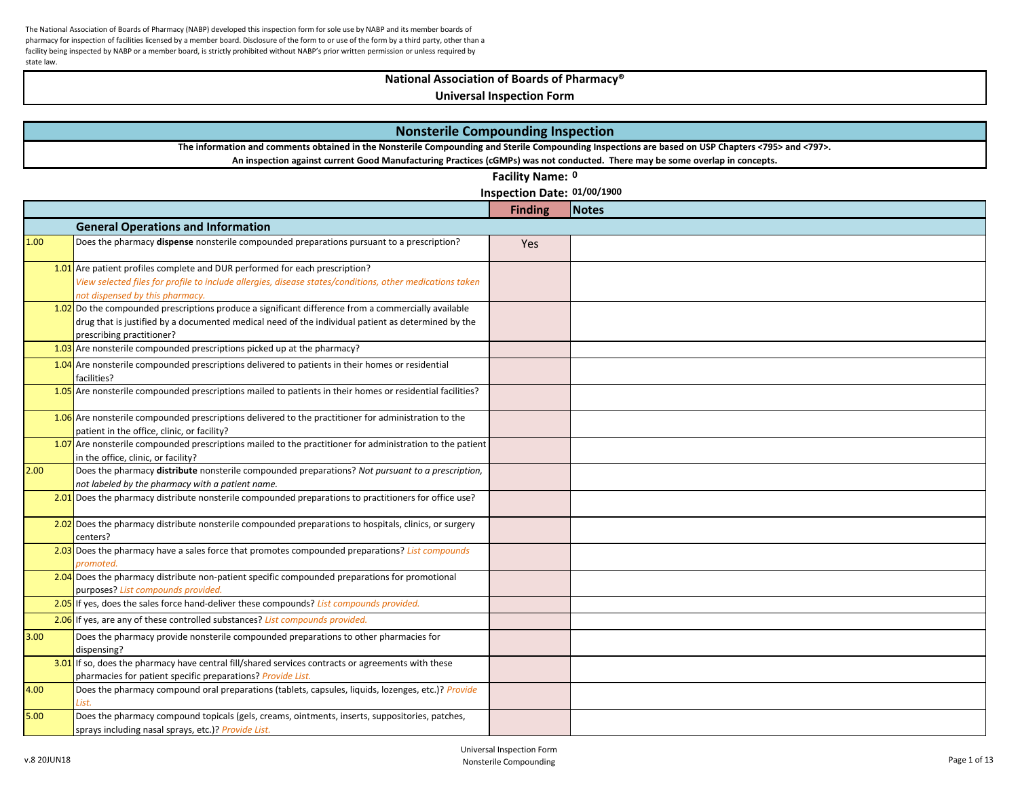# **National Association of Boards of Pharmacy®**

|      | <b>Nonsterile Compounding Inspection</b><br>The information and comments obtained in the Nonsterile Compounding and Sterile Compounding Inspections are based on USP Chapters <795> and <797>. |                             |              |  |
|------|------------------------------------------------------------------------------------------------------------------------------------------------------------------------------------------------|-----------------------------|--------------|--|
|      |                                                                                                                                                                                                |                             |              |  |
|      | An inspection against current Good Manufacturing Practices (cGMPs) was not conducted. There may be some overlap in concepts.                                                                   |                             |              |  |
|      |                                                                                                                                                                                                | Facility Name: 0            |              |  |
|      |                                                                                                                                                                                                | Inspection Date: 01/00/1900 |              |  |
|      |                                                                                                                                                                                                | <b>Finding</b>              | <b>Notes</b> |  |
|      | <b>General Operations and Information</b>                                                                                                                                                      |                             |              |  |
| 1.00 | Does the pharmacy dispense nonsterile compounded preparations pursuant to a prescription?                                                                                                      | Yes                         |              |  |
|      |                                                                                                                                                                                                |                             |              |  |
|      | 1.01 Are patient profiles complete and DUR performed for each prescription?<br>View selected files for profile to include allergies, disease states/conditions, other medications taken        |                             |              |  |
|      | not dispensed by this pharmacy.                                                                                                                                                                |                             |              |  |
|      | $1.02$ Do the compounded prescriptions produce a significant difference from a commercially available                                                                                          |                             |              |  |
|      | drug that is justified by a documented medical need of the individual patient as determined by the                                                                                             |                             |              |  |
|      | prescribing practitioner?                                                                                                                                                                      |                             |              |  |
|      | 1.03 Are nonsterile compounded prescriptions picked up at the pharmacy?                                                                                                                        |                             |              |  |
|      | 1.04 Are nonsterile compounded prescriptions delivered to patients in their homes or residential<br>facilities?                                                                                |                             |              |  |
|      | 1.05 Are nonsterile compounded prescriptions mailed to patients in their homes or residential facilities?                                                                                      |                             |              |  |
|      | 1.06 Are nonsterile compounded prescriptions delivered to the practitioner for administration to the<br>patient in the office, clinic, or facility?                                            |                             |              |  |
|      | 1.07 Are nonsterile compounded prescriptions mailed to the practitioner for administration to the patient<br>in the office, clinic, or facility?                                               |                             |              |  |
| 2.00 | Does the pharmacy distribute nonsterile compounded preparations? Not pursuant to a prescription,                                                                                               |                             |              |  |
|      | not labeled by the pharmacy with a patient name.                                                                                                                                               |                             |              |  |
|      | 2.01 Does the pharmacy distribute nonsterile compounded preparations to practitioners for office use?                                                                                          |                             |              |  |
|      | 2.02 Does the pharmacy distribute nonsterile compounded preparations to hospitals, clinics, or surgery                                                                                         |                             |              |  |
|      | centers?                                                                                                                                                                                       |                             |              |  |
|      | 2.03 Does the pharmacy have a sales force that promotes compounded preparations? List compounds<br>promoted.                                                                                   |                             |              |  |
|      | 2.04 Does the pharmacy distribute non-patient specific compounded preparations for promotional                                                                                                 |                             |              |  |
|      | purposes? List compounds provided.<br>2.05 If yes, does the sales force hand-deliver these compounds? List compounds provided.                                                                 |                             |              |  |
|      | 2.06 If yes, are any of these controlled substances? List compounds provided.                                                                                                                  |                             |              |  |
|      |                                                                                                                                                                                                |                             |              |  |
| 3.00 | Does the pharmacy provide nonsterile compounded preparations to other pharmacies for<br>dispensing?                                                                                            |                             |              |  |
|      | 3.01 If so, does the pharmacy have central fill/shared services contracts or agreements with these<br>pharmacies for patient specific preparations? Provide List.                              |                             |              |  |
| 4.00 | Does the pharmacy compound oral preparations (tablets, capsules, liquids, lozenges, etc.)? Provide                                                                                             |                             |              |  |
|      |                                                                                                                                                                                                |                             |              |  |
| 5.00 | Does the pharmacy compound topicals (gels, creams, ointments, inserts, suppositories, patches,<br>sprays including nasal sprays, etc.)? Provide List.                                          |                             |              |  |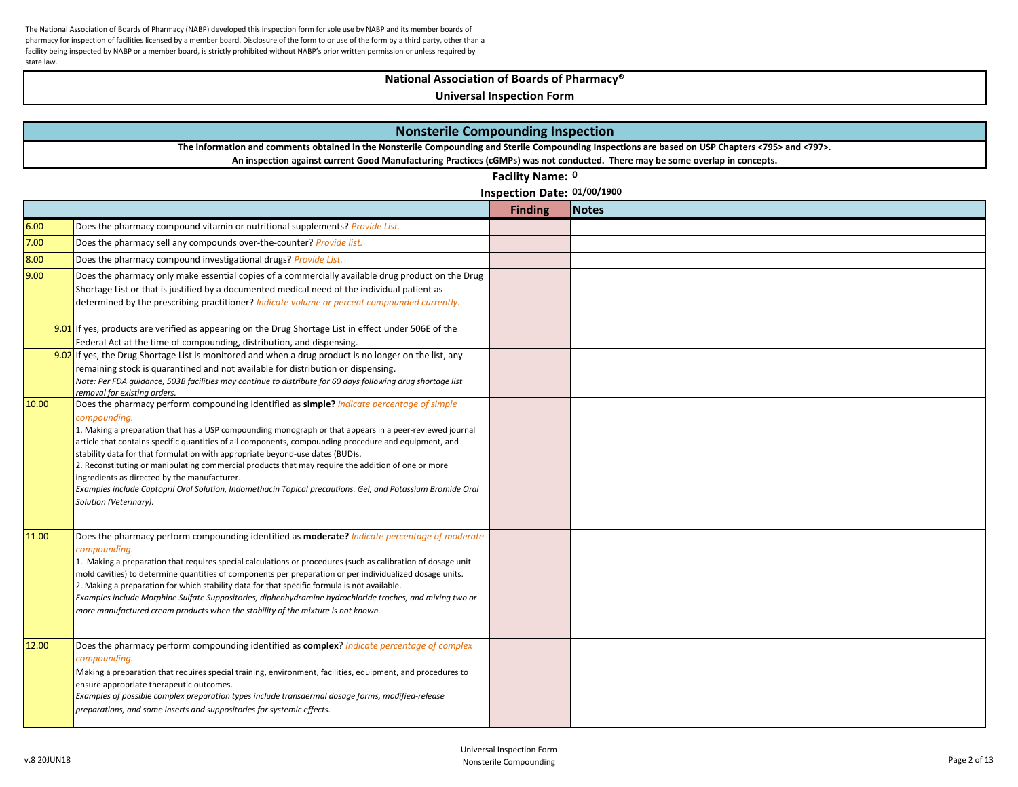# **National Association of Boards of Pharmacy®**

| <b>Nonsterile Compounding Inspection</b>                                                                                                           |                                                                                                                                                                                                                                                                                                                                                                                                                                                                                                                                                                                                                                                                                                               |                             |              |  |
|----------------------------------------------------------------------------------------------------------------------------------------------------|---------------------------------------------------------------------------------------------------------------------------------------------------------------------------------------------------------------------------------------------------------------------------------------------------------------------------------------------------------------------------------------------------------------------------------------------------------------------------------------------------------------------------------------------------------------------------------------------------------------------------------------------------------------------------------------------------------------|-----------------------------|--------------|--|
| The information and comments obtained in the Nonsterile Compounding and Sterile Compounding Inspections are based on USP Chapters <795> and <797>. |                                                                                                                                                                                                                                                                                                                                                                                                                                                                                                                                                                                                                                                                                                               |                             |              |  |
|                                                                                                                                                    | An inspection against current Good Manufacturing Practices (cGMPs) was not conducted. There may be some overlap in concepts.                                                                                                                                                                                                                                                                                                                                                                                                                                                                                                                                                                                  |                             |              |  |
|                                                                                                                                                    |                                                                                                                                                                                                                                                                                                                                                                                                                                                                                                                                                                                                                                                                                                               | Facility Name: 0            |              |  |
|                                                                                                                                                    |                                                                                                                                                                                                                                                                                                                                                                                                                                                                                                                                                                                                                                                                                                               | Inspection Date: 01/00/1900 |              |  |
|                                                                                                                                                    |                                                                                                                                                                                                                                                                                                                                                                                                                                                                                                                                                                                                                                                                                                               | <b>Finding</b>              | <b>Notes</b> |  |
| 6.00                                                                                                                                               | Does the pharmacy compound vitamin or nutritional supplements? Provide List.                                                                                                                                                                                                                                                                                                                                                                                                                                                                                                                                                                                                                                  |                             |              |  |
| 7.00                                                                                                                                               | Does the pharmacy sell any compounds over-the-counter? Provide list.                                                                                                                                                                                                                                                                                                                                                                                                                                                                                                                                                                                                                                          |                             |              |  |
| 8.00                                                                                                                                               | Does the pharmacy compound investigational drugs? Provide List.                                                                                                                                                                                                                                                                                                                                                                                                                                                                                                                                                                                                                                               |                             |              |  |
| 9.00                                                                                                                                               | Does the pharmacy only make essential copies of a commercially available drug product on the Drug<br>Shortage List or that is justified by a documented medical need of the individual patient as<br>determined by the prescribing practitioner? Indicate volume or percent compounded currently.<br>9.01 If yes, products are verified as appearing on the Drug Shortage List in effect under 506E of the<br>Federal Act at the time of compounding, distribution, and dispensing.                                                                                                                                                                                                                           |                             |              |  |
|                                                                                                                                                    | 9.02 If yes, the Drug Shortage List is monitored and when a drug product is no longer on the list, any<br>remaining stock is quarantined and not available for distribution or dispensing.<br>Note: Per FDA quidance, 503B facilities may continue to distribute for 60 days following drug shortage list<br>removal for existing orders.                                                                                                                                                                                                                                                                                                                                                                     |                             |              |  |
| 10.00                                                                                                                                              | Does the pharmacy perform compounding identified as simple? Indicate percentage of simple<br>compounding.<br>1. Making a preparation that has a USP compounding monograph or that appears in a peer-reviewed journal<br>article that contains specific quantities of all components, compounding procedure and equipment, and<br>stability data for that formulation with appropriate beyond-use dates (BUD)s.<br>2. Reconstituting or manipulating commercial products that may require the addition of one or more<br>ingredients as directed by the manufacturer.<br>Examples include Captopril Oral Solution, Indomethacin Topical precautions. Gel, and Potassium Bromide Oral<br>Solution (Veterinary). |                             |              |  |
| 11.00                                                                                                                                              | Does the pharmacy perform compounding identified as <b>moderate?</b> Indicate percentage of moderate<br>compounding.<br>1. Making a preparation that requires special calculations or procedures (such as calibration of dosage unit<br>mold cavities) to determine quantities of components per preparation or per individualized dosage units.<br>2. Making a preparation for which stability data for that specific formula is not available.<br>Examples include Morphine Sulfate Suppositories, diphenhydramine hydrochloride troches, and mixing two or<br>more manufactured cream products when the stability of the mixture is not known.                                                             |                             |              |  |
| 12.00                                                                                                                                              | Does the pharmacy perform compounding identified as complex? Indicate percentage of complex<br>compounding.<br>Making a preparation that requires special training, environment, facilities, equipment, and procedures to<br>ensure appropriate therapeutic outcomes.<br>Examples of possible complex preparation types include transdermal dosage forms, modified-release<br>preparations, and some inserts and suppositories for systemic effects.                                                                                                                                                                                                                                                          |                             |              |  |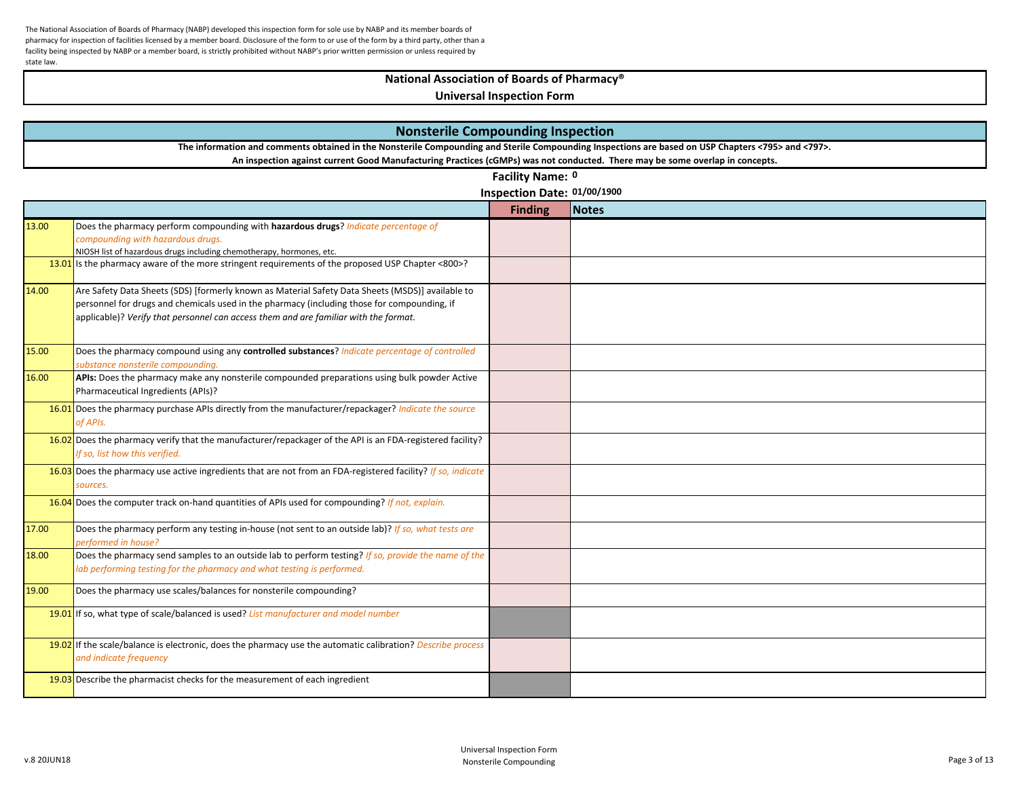# **National Association of Boards of Pharmacy®**

|       | <b>Nonsterile Compounding Inspection</b>                                                                                                                                                                                                                                                |                             |              |  |
|-------|-----------------------------------------------------------------------------------------------------------------------------------------------------------------------------------------------------------------------------------------------------------------------------------------|-----------------------------|--------------|--|
|       | The information and comments obtained in the Nonsterile Compounding and Sterile Compounding Inspections are based on USP Chapters <795> and <797>.                                                                                                                                      |                             |              |  |
|       | An inspection against current Good Manufacturing Practices (cGMPs) was not conducted. There may be some overlap in concepts.                                                                                                                                                            |                             |              |  |
|       |                                                                                                                                                                                                                                                                                         | Facility Name: 0            |              |  |
|       |                                                                                                                                                                                                                                                                                         | Inspection Date: 01/00/1900 |              |  |
|       |                                                                                                                                                                                                                                                                                         | <b>Finding</b>              | <b>Notes</b> |  |
| 13.00 | Does the pharmacy perform compounding with hazardous drugs? Indicate percentage of<br>compounding with hazardous drugs.<br>NIOSH list of hazardous drugs including chemotherapy, hormones, etc.                                                                                         |                             |              |  |
|       | 13.01 Is the pharmacy aware of the more stringent requirements of the proposed USP Chapter <800>?                                                                                                                                                                                       |                             |              |  |
| 14.00 | Are Safety Data Sheets (SDS) [formerly known as Material Safety Data Sheets (MSDS)] available to<br>personnel for drugs and chemicals used in the pharmacy (including those for compounding, if<br>applicable)? Verify that personnel can access them and are familiar with the format. |                             |              |  |
| 15.00 | Does the pharmacy compound using any controlled substances? Indicate percentage of controlled<br>substance nonsterile compounding.                                                                                                                                                      |                             |              |  |
| 16.00 | APIs: Does the pharmacy make any nonsterile compounded preparations using bulk powder Active<br>Pharmaceutical Ingredients (APIs)?                                                                                                                                                      |                             |              |  |
|       | 16.01 Does the pharmacy purchase APIs directly from the manufacturer/repackager? Indicate the source<br>of APIs.                                                                                                                                                                        |                             |              |  |
|       | 16.02 Does the pharmacy verify that the manufacturer/repackager of the API is an FDA-registered facility?<br>If so, list how this verified.                                                                                                                                             |                             |              |  |
|       | 16.03 Does the pharmacy use active ingredients that are not from an FDA-registered facility? If so, indicate<br>sources.                                                                                                                                                                |                             |              |  |
|       | 16.04 Does the computer track on-hand quantities of APIs used for compounding? If not, explain.                                                                                                                                                                                         |                             |              |  |
| 17.00 | Does the pharmacy perform any testing in-house (not sent to an outside lab)? If so, what tests are<br>performed in house?                                                                                                                                                               |                             |              |  |
| 18.00 | Does the pharmacy send samples to an outside lab to perform testing? If so, provide the name of the<br>lab performing testing for the pharmacy and what testing is performed.                                                                                                           |                             |              |  |
| 19.00 | Does the pharmacy use scales/balances for nonsterile compounding?                                                                                                                                                                                                                       |                             |              |  |
|       | 19.01 If so, what type of scale/balanced is used? List manufacturer and model number                                                                                                                                                                                                    |                             |              |  |
|       | 19.02 If the scale/balance is electronic, does the pharmacy use the automatic calibration? Describe process<br>and indicate frequency                                                                                                                                                   |                             |              |  |
|       | 19.03 Describe the pharmacist checks for the measurement of each ingredient                                                                                                                                                                                                             |                             |              |  |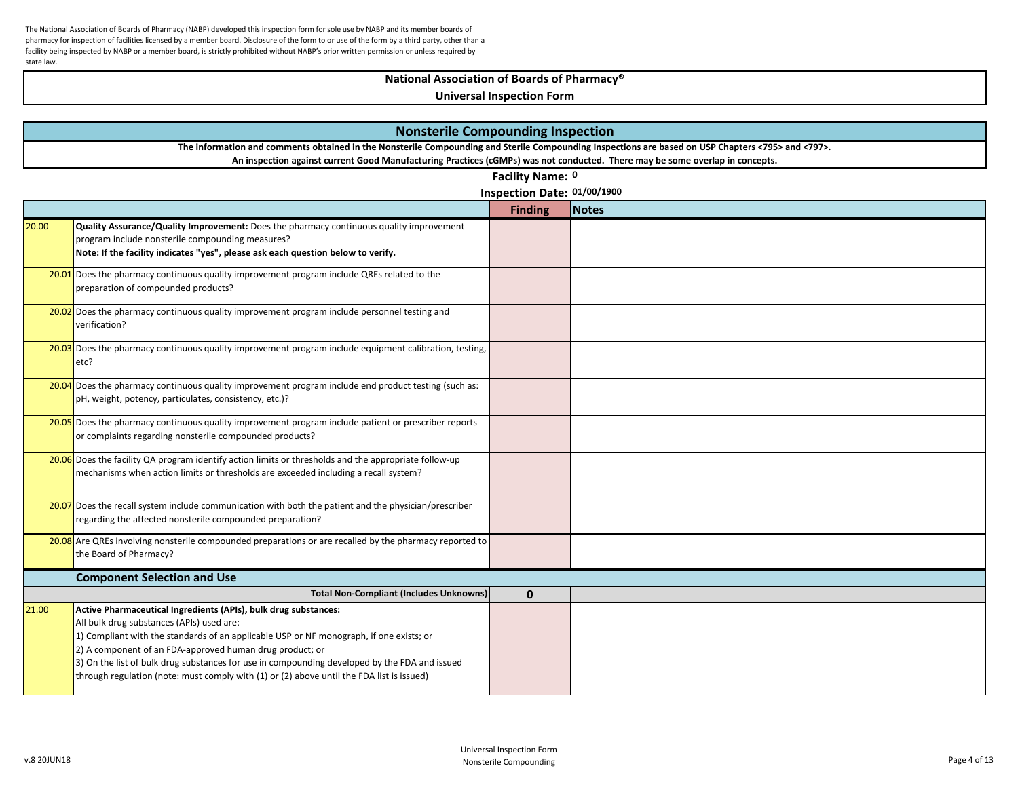# **National Association of Boards of Pharmacy®**

|       | <b>Nonsterile Compounding Inspection</b>                                                                                                           |                             |              |  |
|-------|----------------------------------------------------------------------------------------------------------------------------------------------------|-----------------------------|--------------|--|
|       | The information and comments obtained in the Nonsterile Compounding and Sterile Compounding Inspections are based on USP Chapters <795> and <797>. |                             |              |  |
|       | An inspection against current Good Manufacturing Practices (cGMPs) was not conducted. There may be some overlap in concepts.                       |                             |              |  |
|       |                                                                                                                                                    | Facility Name: 0            |              |  |
|       |                                                                                                                                                    | Inspection Date: 01/00/1900 |              |  |
|       |                                                                                                                                                    | <b>Finding</b>              | <b>Notes</b> |  |
| 20.00 | Quality Assurance/Quality Improvement: Does the pharmacy continuous quality improvement                                                            |                             |              |  |
|       | program include nonsterile compounding measures?                                                                                                   |                             |              |  |
|       | Note: If the facility indicates "yes", please ask each question below to verify.                                                                   |                             |              |  |
|       | 20.01 Does the pharmacy continuous quality improvement program include QREs related to the                                                         |                             |              |  |
|       | preparation of compounded products?                                                                                                                |                             |              |  |
|       | 20.02 Does the pharmacy continuous quality improvement program include personnel testing and                                                       |                             |              |  |
|       | verification?                                                                                                                                      |                             |              |  |
|       | 20.03 Does the pharmacy continuous quality improvement program include equipment calibration, testing,                                             |                             |              |  |
|       | etc?                                                                                                                                               |                             |              |  |
|       |                                                                                                                                                    |                             |              |  |
|       | 20.04 Does the pharmacy continuous quality improvement program include end product testing (such as:                                               |                             |              |  |
|       | pH, weight, potency, particulates, consistency, etc.)?                                                                                             |                             |              |  |
|       | 20.05 Does the pharmacy continuous quality improvement program include patient or prescriber reports                                               |                             |              |  |
|       | or complaints regarding nonsterile compounded products?                                                                                            |                             |              |  |
|       | 20.06 Does the facility QA program identify action limits or thresholds and the appropriate follow-up                                              |                             |              |  |
|       | mechanisms when action limits or thresholds are exceeded including a recall system?                                                                |                             |              |  |
|       |                                                                                                                                                    |                             |              |  |
|       | 20.07 Does the recall system include communication with both the patient and the physician/prescriber                                              |                             |              |  |
|       | regarding the affected nonsterile compounded preparation?                                                                                          |                             |              |  |
|       | 20.08 Are QREs involving nonsterile compounded preparations or are recalled by the pharmacy reported to                                            |                             |              |  |
|       | the Board of Pharmacy?                                                                                                                             |                             |              |  |
|       | <b>Component Selection and Use</b>                                                                                                                 |                             |              |  |
|       | <b>Total Non-Compliant (Includes Unknowns)</b>                                                                                                     | $\mathbf{0}$                |              |  |
| 21.00 | Active Pharmaceutical Ingredients (APIs), bulk drug substances:                                                                                    |                             |              |  |
|       | All bulk drug substances (APIs) used are:                                                                                                          |                             |              |  |
|       | 1) Compliant with the standards of an applicable USP or NF monograph, if one exists; or                                                            |                             |              |  |
|       | 2) A component of an FDA-approved human drug product; or                                                                                           |                             |              |  |
|       | 3) On the list of bulk drug substances for use in compounding developed by the FDA and issued                                                      |                             |              |  |
|       | through regulation (note: must comply with (1) or (2) above until the FDA list is issued)                                                          |                             |              |  |
|       |                                                                                                                                                    |                             |              |  |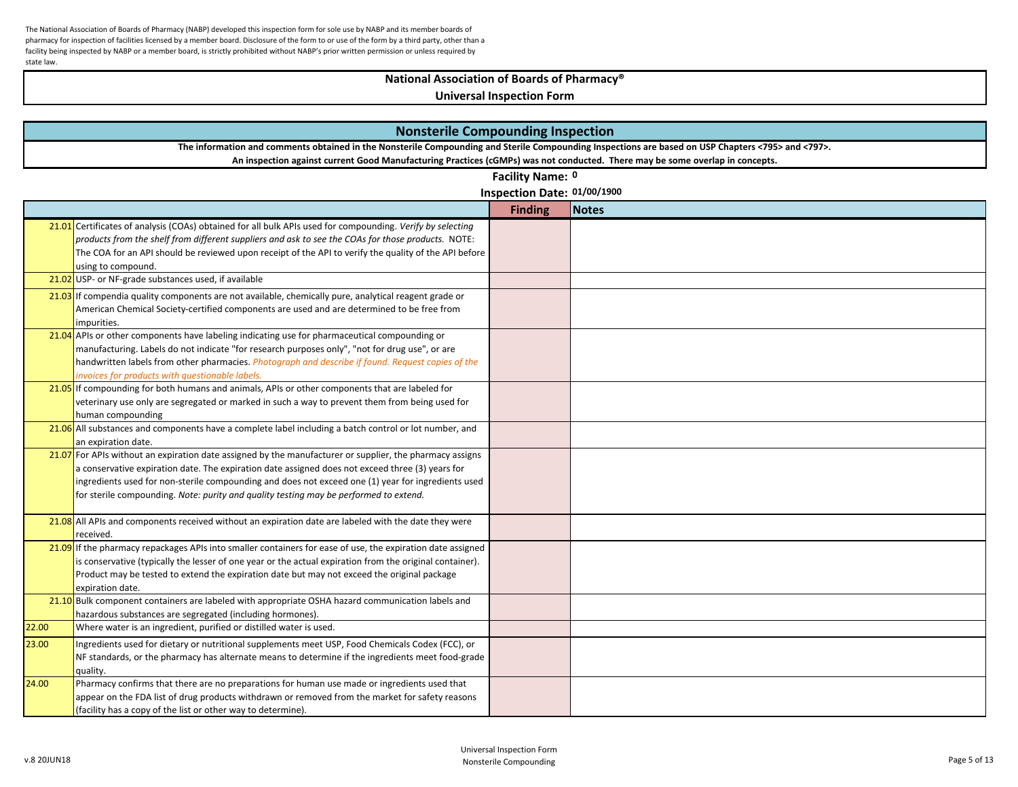# **National Association of Boards of Pharmacy®**

|       | <b>Nonsterile Compounding Inspection</b>                                                                                                                                                                                                                                                                                                                                                                      |                             |       |  |
|-------|---------------------------------------------------------------------------------------------------------------------------------------------------------------------------------------------------------------------------------------------------------------------------------------------------------------------------------------------------------------------------------------------------------------|-----------------------------|-------|--|
|       | The information and comments obtained in the Nonsterile Compounding and Sterile Compounding Inspections are based on USP Chapters <795> and <797>.                                                                                                                                                                                                                                                            |                             |       |  |
|       | An inspection against current Good Manufacturing Practices (cGMPs) was not conducted. There may be some overlap in concepts.                                                                                                                                                                                                                                                                                  |                             |       |  |
|       |                                                                                                                                                                                                                                                                                                                                                                                                               | Facility Name: 0            |       |  |
|       |                                                                                                                                                                                                                                                                                                                                                                                                               | Inspection Date: 01/00/1900 |       |  |
|       |                                                                                                                                                                                                                                                                                                                                                                                                               | <b>Finding</b>              | Notes |  |
|       | 21.01 Certificates of analysis (COAs) obtained for all bulk APIs used for compounding. Verify by selecting<br>products from the shelf from different suppliers and ask to see the COAs for those products. NOTE:<br>The COA for an API should be reviewed upon receipt of the API to verify the quality of the API before<br>using to compound.                                                               |                             |       |  |
|       | 21.02 USP- or NF-grade substances used, if available                                                                                                                                                                                                                                                                                                                                                          |                             |       |  |
|       | 21.03 If compendia quality components are not available, chemically pure, analytical reagent grade or<br>American Chemical Society-certified components are used and are determined to be free from<br>impurities.                                                                                                                                                                                            |                             |       |  |
|       | 21.04 APIs or other components have labeling indicating use for pharmaceutical compounding or<br>manufacturing. Labels do not indicate "for research purposes only", "not for drug use", or are<br>handwritten labels from other pharmacies. <i>Photograph and describe if found. Request copies of the</i><br>invoices for products with questionable labels.                                                |                             |       |  |
|       | $21.05$ If compounding for both humans and animals, APIs or other components that are labeled for<br>veterinary use only are segregated or marked in such a way to prevent them from being used for<br>human compounding                                                                                                                                                                                      |                             |       |  |
|       | $21.06$ All substances and components have a complete label including a batch control or lot number, and<br>an expiration date.                                                                                                                                                                                                                                                                               |                             |       |  |
|       | $21.07$ For APIs without an expiration date assigned by the manufacturer or supplier, the pharmacy assigns<br>a conservative expiration date. The expiration date assigned does not exceed three (3) years for<br>ingredients used for non-sterile compounding and does not exceed one (1) year for ingredients used<br>for sterile compounding. Note: purity and quality testing may be performed to extend. |                             |       |  |
|       | 21.08 All APIs and components received without an expiration date are labeled with the date they were<br>received.                                                                                                                                                                                                                                                                                            |                             |       |  |
|       | $21.09$ If the pharmacy repackages APIs into smaller containers for ease of use, the expiration date assigned<br>is conservative (typically the lesser of one year or the actual expiration from the original container).<br>Product may be tested to extend the expiration date but may not exceed the original package<br>expiration date.                                                                  |                             |       |  |
|       | 21.10 Bulk component containers are labeled with appropriate OSHA hazard communication labels and<br>hazardous substances are segregated (including hormones).                                                                                                                                                                                                                                                |                             |       |  |
| 22.00 | Where water is an ingredient, purified or distilled water is used.                                                                                                                                                                                                                                                                                                                                            |                             |       |  |
| 23.00 | Ingredients used for dietary or nutritional supplements meet USP, Food Chemicals Codex (FCC), or<br>NF standards, or the pharmacy has alternate means to determine if the ingredients meet food-grade<br>quality.                                                                                                                                                                                             |                             |       |  |
| 24.00 | Pharmacy confirms that there are no preparations for human use made or ingredients used that<br>appear on the FDA list of drug products withdrawn or removed from the market for safety reasons<br>(facility has a copy of the list or other way to determine).                                                                                                                                               |                             |       |  |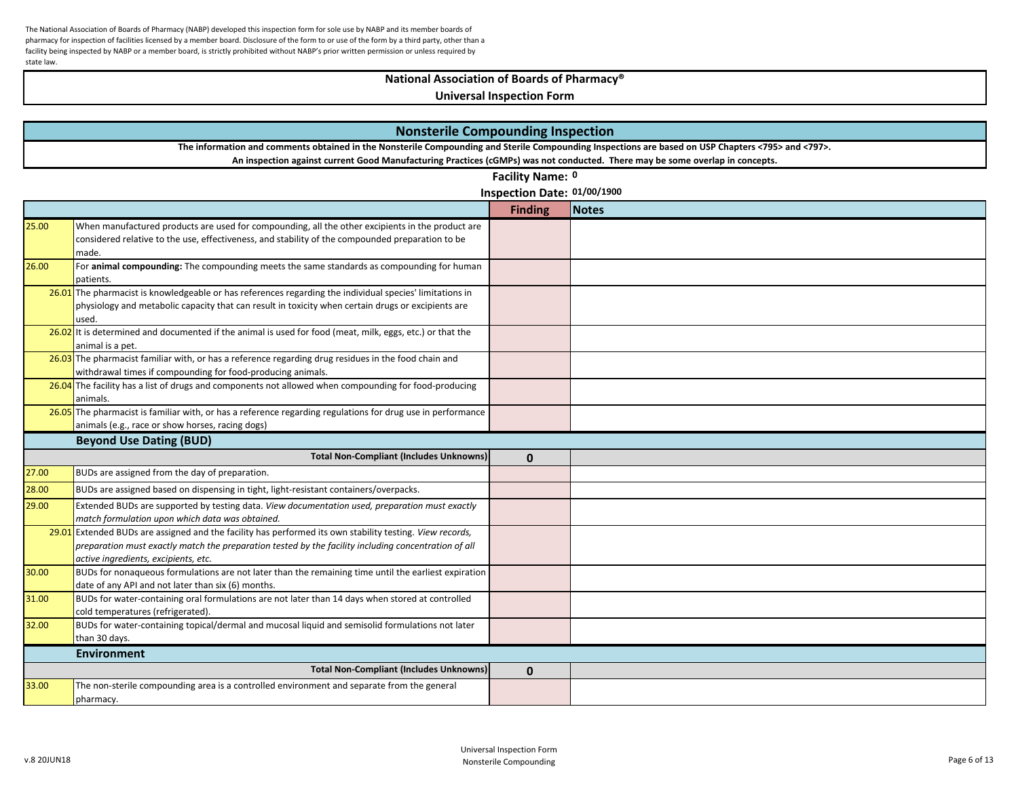# **National Association of Boards of Pharmacy®**

|       | <b>Nonsterile Compounding Inspection</b>                                                                                                                                                                       |                             |              |  |  |  |
|-------|----------------------------------------------------------------------------------------------------------------------------------------------------------------------------------------------------------------|-----------------------------|--------------|--|--|--|
|       | The information and comments obtained in the Nonsterile Compounding and Sterile Compounding Inspections are based on USP Chapters <795> and <797>.                                                             |                             |              |  |  |  |
|       | An inspection against current Good Manufacturing Practices (cGMPs) was not conducted. There may be some overlap in concepts.                                                                                   |                             |              |  |  |  |
|       |                                                                                                                                                                                                                | Facility Name: 0            |              |  |  |  |
|       |                                                                                                                                                                                                                | Inspection Date: 01/00/1900 |              |  |  |  |
|       |                                                                                                                                                                                                                | <b>Finding</b>              | <b>Notes</b> |  |  |  |
| 25.00 | When manufactured products are used for compounding, all the other excipients in the product are                                                                                                               |                             |              |  |  |  |
|       | considered relative to the use, effectiveness, and stability of the compounded preparation to be                                                                                                               |                             |              |  |  |  |
|       | made.                                                                                                                                                                                                          |                             |              |  |  |  |
| 26.00 | For animal compounding: The compounding meets the same standards as compounding for human                                                                                                                      |                             |              |  |  |  |
|       | patients.                                                                                                                                                                                                      |                             |              |  |  |  |
|       | 26.01 The pharmacist is knowledgeable or has references regarding the individual species' limitations in<br>physiology and metabolic capacity that can result in toxicity when certain drugs or excipients are |                             |              |  |  |  |
|       | used.                                                                                                                                                                                                          |                             |              |  |  |  |
|       | $26.02$ It is determined and documented if the animal is used for food (meat, milk, eggs, etc.) or that the                                                                                                    |                             |              |  |  |  |
|       | animal is a pet.                                                                                                                                                                                               |                             |              |  |  |  |
|       | 26.03 The pharmacist familiar with, or has a reference regarding drug residues in the food chain and                                                                                                           |                             |              |  |  |  |
|       | withdrawal times if compounding for food-producing animals.                                                                                                                                                    |                             |              |  |  |  |
|       | 26.04 The facility has a list of drugs and components not allowed when compounding for food-producing                                                                                                          |                             |              |  |  |  |
|       | animals.                                                                                                                                                                                                       |                             |              |  |  |  |
|       | 26.05 The pharmacist is familiar with, or has a reference regarding regulations for drug use in performance                                                                                                    |                             |              |  |  |  |
|       | animals (e.g., race or show horses, racing dogs)                                                                                                                                                               |                             |              |  |  |  |
|       | <b>Beyond Use Dating (BUD)</b>                                                                                                                                                                                 |                             |              |  |  |  |
|       | <b>Total Non-Compliant (Includes Unknowns)</b>                                                                                                                                                                 | $\mathbf{0}$                |              |  |  |  |
| 27.00 | BUDs are assigned from the day of preparation.                                                                                                                                                                 |                             |              |  |  |  |
| 28.00 | BUDs are assigned based on dispensing in tight, light-resistant containers/overpacks.                                                                                                                          |                             |              |  |  |  |
| 29.00 | Extended BUDs are supported by testing data. View documentation used, preparation must exactly                                                                                                                 |                             |              |  |  |  |
|       | match formulation upon which data was obtained.                                                                                                                                                                |                             |              |  |  |  |
|       | 29.01 Extended BUDs are assigned and the facility has performed its own stability testing. View records,                                                                                                       |                             |              |  |  |  |
|       | preparation must exactly match the preparation tested by the facility including concentration of all                                                                                                           |                             |              |  |  |  |
|       | active ingredients, excipients, etc.                                                                                                                                                                           |                             |              |  |  |  |
| 30.00 | BUDs for nonaqueous formulations are not later than the remaining time until the earliest expiration                                                                                                           |                             |              |  |  |  |
| 31.00 | date of any API and not later than six (6) months.<br>BUDs for water-containing oral formulations are not later than 14 days when stored at controlled                                                         |                             |              |  |  |  |
|       | cold temperatures (refrigerated).                                                                                                                                                                              |                             |              |  |  |  |
| 32.00 | BUDs for water-containing topical/dermal and mucosal liquid and semisolid formulations not later                                                                                                               |                             |              |  |  |  |
|       | than 30 days.                                                                                                                                                                                                  |                             |              |  |  |  |
|       | <b>Environment</b>                                                                                                                                                                                             |                             |              |  |  |  |
|       | <b>Total Non-Compliant (Includes Unknowns)</b>                                                                                                                                                                 | $\mathbf 0$                 |              |  |  |  |
| 33.00 | The non-sterile compounding area is a controlled environment and separate from the general                                                                                                                     |                             |              |  |  |  |
|       | pharmacy.                                                                                                                                                                                                      |                             |              |  |  |  |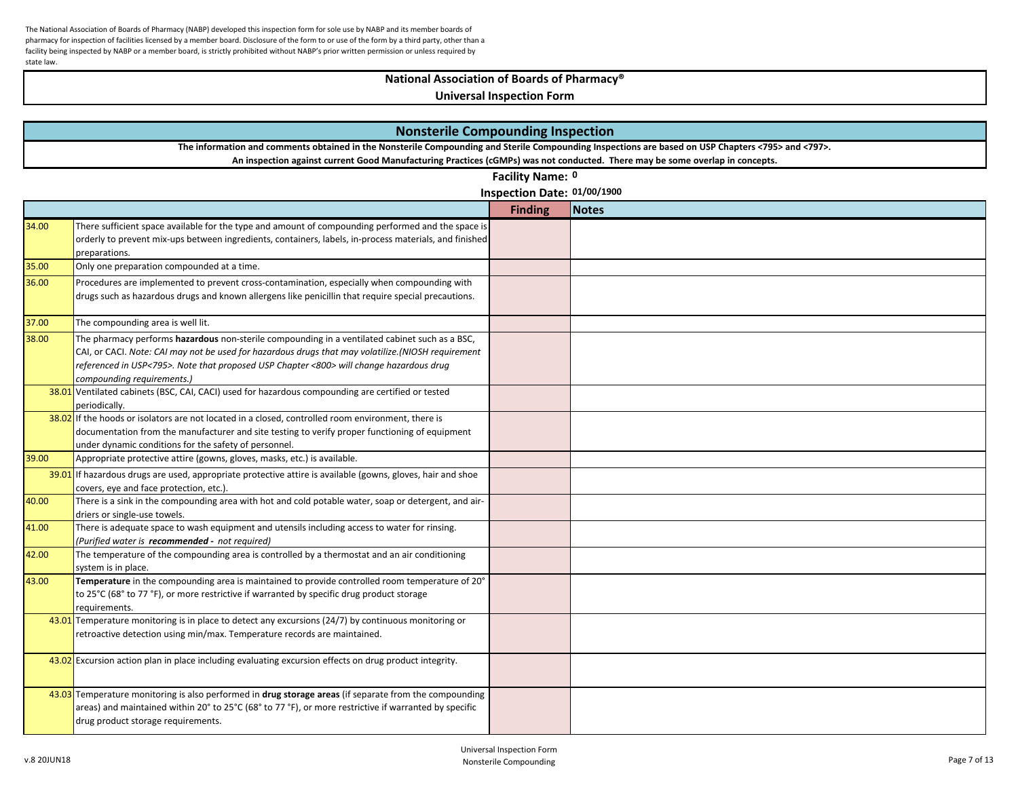# **National Association of Boards of Pharmacy®**

| <b>Nonsterile Compounding Inspection</b>                                                                                                           |                                                                                                                                                                                                                                                                                                                               |                             |              |  |  |
|----------------------------------------------------------------------------------------------------------------------------------------------------|-------------------------------------------------------------------------------------------------------------------------------------------------------------------------------------------------------------------------------------------------------------------------------------------------------------------------------|-----------------------------|--------------|--|--|
| The information and comments obtained in the Nonsterile Compounding and Sterile Compounding Inspections are based on USP Chapters <795> and <797>. |                                                                                                                                                                                                                                                                                                                               |                             |              |  |  |
|                                                                                                                                                    | An inspection against current Good Manufacturing Practices (cGMPs) was not conducted. There may be some overlap in concepts.                                                                                                                                                                                                  |                             |              |  |  |
|                                                                                                                                                    |                                                                                                                                                                                                                                                                                                                               | Facility Name: 0            |              |  |  |
|                                                                                                                                                    |                                                                                                                                                                                                                                                                                                                               | Inspection Date: 01/00/1900 |              |  |  |
|                                                                                                                                                    |                                                                                                                                                                                                                                                                                                                               | <b>Finding</b>              | <b>Notes</b> |  |  |
| 34.00                                                                                                                                              | There sufficient space available for the type and amount of compounding performed and the space is<br>orderly to prevent mix-ups between ingredients, containers, labels, in-process materials, and finished<br>preparations.                                                                                                 |                             |              |  |  |
| 35.00                                                                                                                                              | Only one preparation compounded at a time.                                                                                                                                                                                                                                                                                    |                             |              |  |  |
| 36.00                                                                                                                                              | Procedures are implemented to prevent cross-contamination, especially when compounding with<br>drugs such as hazardous drugs and known allergens like penicillin that require special precautions.                                                                                                                            |                             |              |  |  |
| 37.00                                                                                                                                              | The compounding area is well lit.                                                                                                                                                                                                                                                                                             |                             |              |  |  |
| 38.00                                                                                                                                              | The pharmacy performs hazardous non-sterile compounding in a ventilated cabinet such as a BSC,<br>CAI, or CACI. Note: CAI may not be used for hazardous drugs that may volatilize.(NIOSH requirement<br>referenced in USP<795>. Note that proposed USP Chapter <800> will change hazardous drug<br>compounding requirements.) |                             |              |  |  |
|                                                                                                                                                    | 38.01 Ventilated cabinets (BSC, CAI, CACI) used for hazardous compounding are certified or tested<br>periodically.                                                                                                                                                                                                            |                             |              |  |  |
|                                                                                                                                                    | $38.02$ If the hoods or isolators are not located in a closed, controlled room environment, there is<br>documentation from the manufacturer and site testing to verify proper functioning of equipment<br>under dynamic conditions for the safety of personnel.                                                               |                             |              |  |  |
| 39.00                                                                                                                                              | Appropriate protective attire (gowns, gloves, masks, etc.) is available.                                                                                                                                                                                                                                                      |                             |              |  |  |
|                                                                                                                                                    | $39.01$ If hazardous drugs are used, appropriate protective attire is available (gowns, gloves, hair and shoe<br>covers, eye and face protection, etc.).                                                                                                                                                                      |                             |              |  |  |
| 40.00                                                                                                                                              | There is a sink in the compounding area with hot and cold potable water, soap or detergent, and air-<br>driers or single-use towels.                                                                                                                                                                                          |                             |              |  |  |
| 41.00                                                                                                                                              | There is adequate space to wash equipment and utensils including access to water for rinsing.<br>(Purified water is recommended - not required)                                                                                                                                                                               |                             |              |  |  |
| 42.00                                                                                                                                              | The temperature of the compounding area is controlled by a thermostat and an air conditioning<br>system is in place.                                                                                                                                                                                                          |                             |              |  |  |
| 43.00                                                                                                                                              | Temperature in the compounding area is maintained to provide controlled room temperature of 20°<br>to 25°C (68° to 77 °F), or more restrictive if warranted by specific drug product storage<br>requirements.                                                                                                                 |                             |              |  |  |
|                                                                                                                                                    | 43.01 Temperature monitoring is in place to detect any excursions $(24/7)$ by continuous monitoring or<br>retroactive detection using min/max. Temperature records are maintained.                                                                                                                                            |                             |              |  |  |
|                                                                                                                                                    | 43.02 Excursion action plan in place including evaluating excursion effects on drug product integrity.                                                                                                                                                                                                                        |                             |              |  |  |
|                                                                                                                                                    | 43.03 Temperature monitoring is also performed in drug storage areas (if separate from the compounding<br>areas) and maintained within 20° to 25°C (68° to 77 °F), or more restrictive if warranted by specific<br>drug product storage requirements.                                                                         |                             |              |  |  |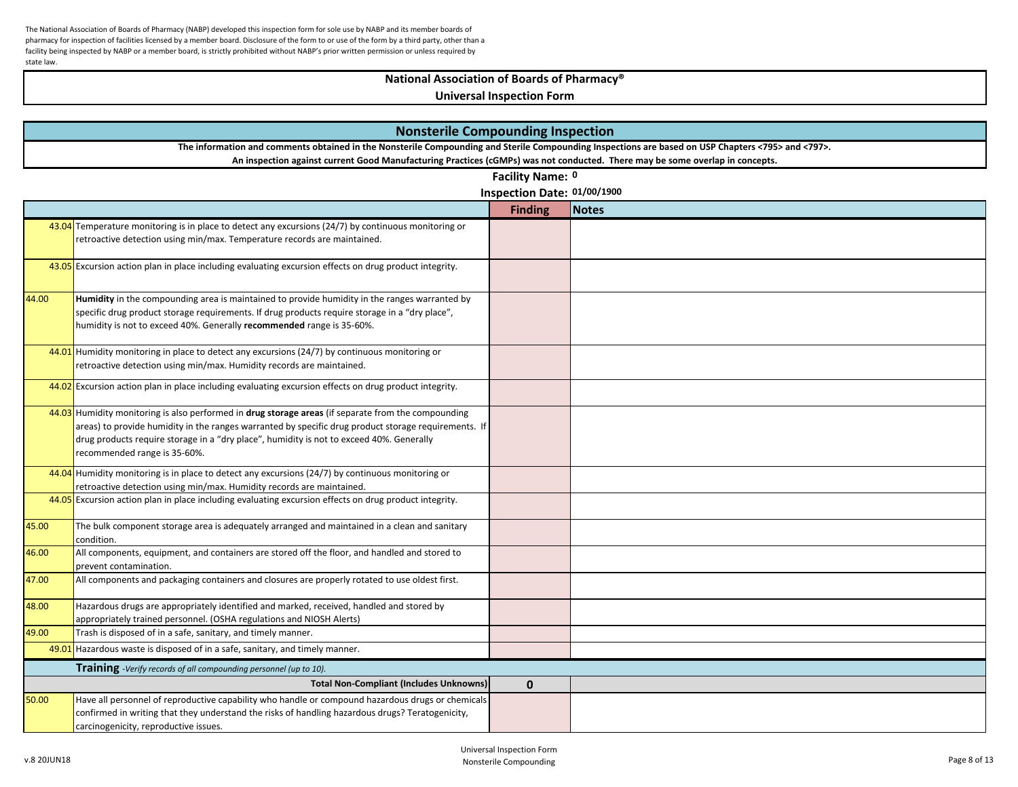# **National Association of Boards of Pharmacy®**

|       | <b>Nonsterile Compounding Inspection</b>                                                                                                                                                                                                                                                                                                  |                             |       |  |
|-------|-------------------------------------------------------------------------------------------------------------------------------------------------------------------------------------------------------------------------------------------------------------------------------------------------------------------------------------------|-----------------------------|-------|--|
|       | The information and comments obtained in the Nonsterile Compounding and Sterile Compounding Inspections are based on USP Chapters <795> and <797>.                                                                                                                                                                                        |                             |       |  |
|       | An inspection against current Good Manufacturing Practices (cGMPs) was not conducted. There may be some overlap in concepts.                                                                                                                                                                                                              |                             |       |  |
|       |                                                                                                                                                                                                                                                                                                                                           | Facility Name: 0            |       |  |
|       |                                                                                                                                                                                                                                                                                                                                           | Inspection Date: 01/00/1900 |       |  |
|       |                                                                                                                                                                                                                                                                                                                                           | <b>Finding</b>              | Notes |  |
|       | 43.04 Temperature monitoring is in place to detect any excursions $(24/7)$ by continuous monitoring or<br>retroactive detection using min/max. Temperature records are maintained.                                                                                                                                                        |                             |       |  |
|       | 43.05 Excursion action plan in place including evaluating excursion effects on drug product integrity.                                                                                                                                                                                                                                    |                             |       |  |
| 44.00 | Humidity in the compounding area is maintained to provide humidity in the ranges warranted by<br>specific drug product storage requirements. If drug products require storage in a "dry place",<br>humidity is not to exceed 40%. Generally recommended range is 35-60%.                                                                  |                             |       |  |
|       | 44.01 Humidity monitoring in place to detect any excursions ( $24/7$ ) by continuous monitoring or<br>retroactive detection using min/max. Humidity records are maintained.                                                                                                                                                               |                             |       |  |
|       | 44.02 Excursion action plan in place including evaluating excursion effects on drug product integrity.                                                                                                                                                                                                                                    |                             |       |  |
|       | $44.03$ Humidity monitoring is also performed in drug storage areas (if separate from the compounding<br>areas) to provide humidity in the ranges warranted by specific drug product storage requirements. If<br>drug products require storage in a "dry place", humidity is not to exceed 40%. Generally<br>recommended range is 35-60%. |                             |       |  |
|       | 44.04 Humidity monitoring is in place to detect any excursions $(24/7)$ by continuous monitoring or<br>retroactive detection using min/max. Humidity records are maintained.                                                                                                                                                              |                             |       |  |
|       | 44.05 Excursion action plan in place including evaluating excursion effects on drug product integrity.                                                                                                                                                                                                                                    |                             |       |  |
| 45.00 | The bulk component storage area is adequately arranged and maintained in a clean and sanitary<br>condition.                                                                                                                                                                                                                               |                             |       |  |
| 46.00 | All components, equipment, and containers are stored off the floor, and handled and stored to<br>prevent contamination.                                                                                                                                                                                                                   |                             |       |  |
| 47.00 | All components and packaging containers and closures are properly rotated to use oldest first.                                                                                                                                                                                                                                            |                             |       |  |
| 48.00 | Hazardous drugs are appropriately identified and marked, received, handled and stored by<br>appropriately trained personnel. (OSHA regulations and NIOSH Alerts)                                                                                                                                                                          |                             |       |  |
| 49.00 | Trash is disposed of in a safe, sanitary, and timely manner.                                                                                                                                                                                                                                                                              |                             |       |  |
|       | 49.01 Hazardous waste is disposed of in a safe, sanitary, and timely manner.                                                                                                                                                                                                                                                              |                             |       |  |
|       | Training -Verify records of all compounding personnel (up to 10).                                                                                                                                                                                                                                                                         |                             |       |  |
|       | <b>Total Non-Compliant (Includes Unknowns)</b>                                                                                                                                                                                                                                                                                            | $\mathbf 0$                 |       |  |
| 50.00 | Have all personnel of reproductive capability who handle or compound hazardous drugs or chemicals<br>confirmed in writing that they understand the risks of handling hazardous drugs? Teratogenicity,<br>carcinogenicity, reproductive issues.                                                                                            |                             |       |  |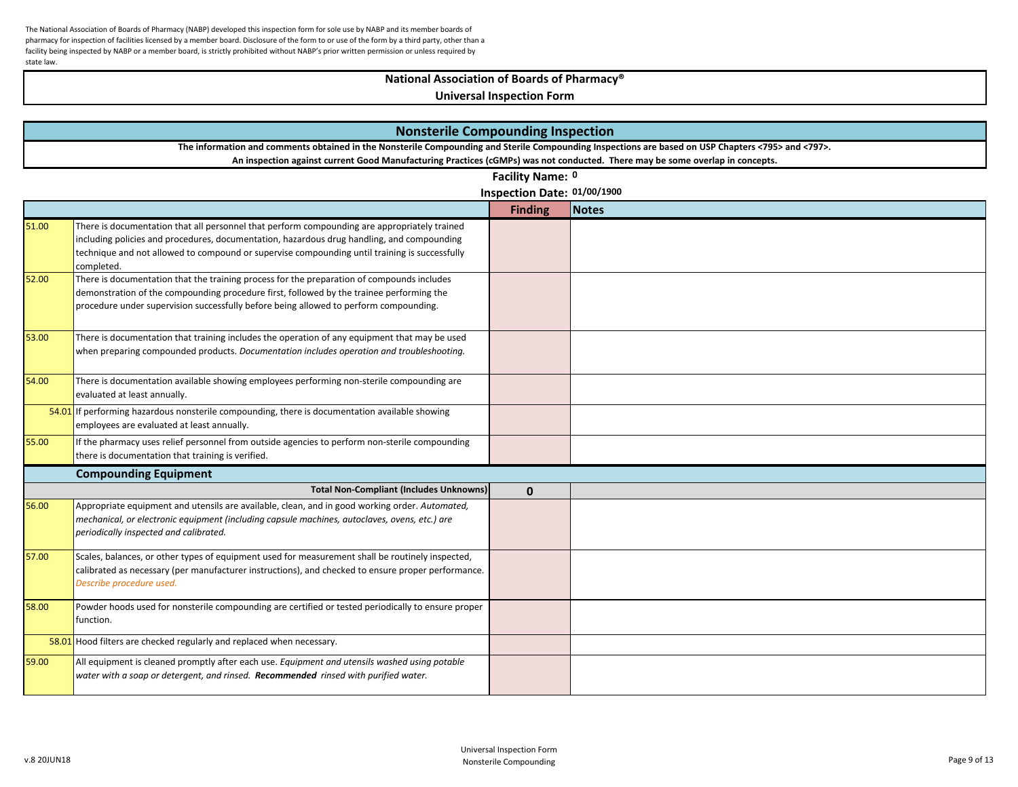# **National Association of Boards of Pharmacy®**

|       | <b>Nonsterile Compounding Inspection</b>                                                                                                                                                                                                                                                                  |                             |              |  |
|-------|-----------------------------------------------------------------------------------------------------------------------------------------------------------------------------------------------------------------------------------------------------------------------------------------------------------|-----------------------------|--------------|--|
|       | The information and comments obtained in the Nonsterile Compounding and Sterile Compounding Inspections are based on USP Chapters <795> and <797>.<br>An inspection against current Good Manufacturing Practices (cGMPs) was not conducted. There may be some overlap in concepts.                        |                             |              |  |
|       |                                                                                                                                                                                                                                                                                                           | Facility Name: 0            |              |  |
|       |                                                                                                                                                                                                                                                                                                           | Inspection Date: 01/00/1900 |              |  |
|       |                                                                                                                                                                                                                                                                                                           | <b>Finding</b>              | <b>Notes</b> |  |
| 51.00 | There is documentation that all personnel that perform compounding are appropriately trained<br>including policies and procedures, documentation, hazardous drug handling, and compounding<br>technique and not allowed to compound or supervise compounding until training is successfully<br>completed. |                             |              |  |
| 52.00 | There is documentation that the training process for the preparation of compounds includes<br>demonstration of the compounding procedure first, followed by the trainee performing the<br>procedure under supervision successfully before being allowed to perform compounding.                           |                             |              |  |
| 53.00 | There is documentation that training includes the operation of any equipment that may be used<br>when preparing compounded products. Documentation includes operation and troubleshooting.                                                                                                                |                             |              |  |
| 54.00 | There is documentation available showing employees performing non-sterile compounding are<br>evaluated at least annually.                                                                                                                                                                                 |                             |              |  |
|       | 54.01 If performing hazardous nonsterile compounding, there is documentation available showing<br>employees are evaluated at least annually.                                                                                                                                                              |                             |              |  |
| 55.00 | If the pharmacy uses relief personnel from outside agencies to perform non-sterile compounding<br>there is documentation that training is verified.                                                                                                                                                       |                             |              |  |
|       | <b>Compounding Equipment</b>                                                                                                                                                                                                                                                                              |                             |              |  |
|       | <b>Total Non-Compliant (Includes Unknowns)</b>                                                                                                                                                                                                                                                            | $\mathbf{0}$                |              |  |
| 56.00 | Appropriate equipment and utensils are available, clean, and in good working order. Automated,<br>mechanical, or electronic equipment (including capsule machines, autoclaves, ovens, etc.) are<br>periodically inspected and calibrated.                                                                 |                             |              |  |
| 57.00 | Scales, balances, or other types of equipment used for measurement shall be routinely inspected,<br>calibrated as necessary (per manufacturer instructions), and checked to ensure proper performance.<br>Describe procedure used.                                                                        |                             |              |  |
| 58.00 | Powder hoods used for nonsterile compounding are certified or tested periodically to ensure proper<br>function.                                                                                                                                                                                           |                             |              |  |
|       | 58.01 Hood filters are checked regularly and replaced when necessary.                                                                                                                                                                                                                                     |                             |              |  |
| 59.00 | All equipment is cleaned promptly after each use. Equipment and utensils washed using potable<br>water with a soap or detergent, and rinsed. Recommended rinsed with purified water.                                                                                                                      |                             |              |  |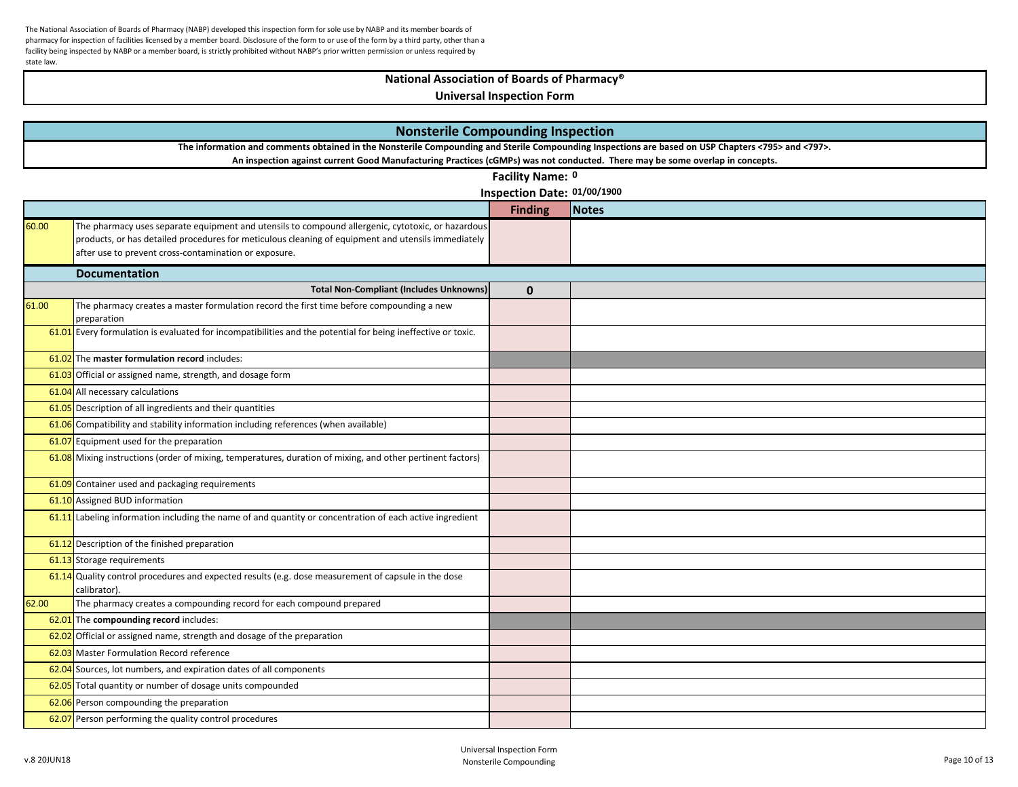## **National Association of Boards of Pharmacy®**

|       | <b>Nonsterile Compounding Inspection</b>                                                                                                           |                             |       |  |
|-------|----------------------------------------------------------------------------------------------------------------------------------------------------|-----------------------------|-------|--|
|       | The information and comments obtained in the Nonsterile Compounding and Sterile Compounding Inspections are based on USP Chapters <795> and <797>. |                             |       |  |
|       | An inspection against current Good Manufacturing Practices (cGMPs) was not conducted. There may be some overlap in concepts.                       |                             |       |  |
|       |                                                                                                                                                    | Facility Name: 0            |       |  |
|       |                                                                                                                                                    | Inspection Date: 01/00/1900 |       |  |
|       |                                                                                                                                                    | <b>Finding</b>              | Notes |  |
| 60.00 | The pharmacy uses separate equipment and utensils to compound allergenic, cytotoxic, or hazardous                                                  |                             |       |  |
|       | products, or has detailed procedures for meticulous cleaning of equipment and utensils immediately                                                 |                             |       |  |
|       | after use to prevent cross-contamination or exposure.                                                                                              |                             |       |  |
|       | <b>Documentation</b>                                                                                                                               |                             |       |  |
|       | <b>Total Non-Compliant (Includes Unknowns)</b>                                                                                                     | $\mathbf{0}$                |       |  |
| 61.00 | The pharmacy creates a master formulation record the first time before compounding a new                                                           |                             |       |  |
|       | preparation                                                                                                                                        |                             |       |  |
|       | 61.01 Every formulation is evaluated for incompatibilities and the potential for being ineffective or toxic.                                       |                             |       |  |
|       | 61.02 The master formulation record includes:                                                                                                      |                             |       |  |
|       | 61.03 Official or assigned name, strength, and dosage form                                                                                         |                             |       |  |
|       | 61.04 All necessary calculations                                                                                                                   |                             |       |  |
|       | 61.05 Description of all ingredients and their quantities                                                                                          |                             |       |  |
|       | 61.06 Compatibility and stability information including references (when available)                                                                |                             |       |  |
|       | 61.07 Equipment used for the preparation                                                                                                           |                             |       |  |
|       | 61.08 Mixing instructions (order of mixing, temperatures, duration of mixing, and other pertinent factors)                                         |                             |       |  |
|       | 61.09 Container used and packaging requirements                                                                                                    |                             |       |  |
|       | 61.10 Assigned BUD information                                                                                                                     |                             |       |  |
|       | $61.11$ Labeling information including the name of and quantity or concentration of each active ingredient                                         |                             |       |  |
|       | 61.12 Description of the finished preparation                                                                                                      |                             |       |  |
|       | 61.13 Storage requirements                                                                                                                         |                             |       |  |
|       | $61.14$ Quality control procedures and expected results (e.g. dose measurement of capsule in the dose<br>calibrator).                              |                             |       |  |
| 62.00 | The pharmacy creates a compounding record for each compound prepared                                                                               |                             |       |  |
|       | 62.01 The compounding record includes:                                                                                                             |                             |       |  |
|       | 62.02 Official or assigned name, strength and dosage of the preparation                                                                            |                             |       |  |
|       | 62.03 Master Formulation Record reference                                                                                                          |                             |       |  |
|       | 62.04 Sources, lot numbers, and expiration dates of all components                                                                                 |                             |       |  |
|       | 62.05 Total quantity or number of dosage units compounded                                                                                          |                             |       |  |
|       | 62.06 Person compounding the preparation                                                                                                           |                             |       |  |
|       | 62.07 Person performing the quality control procedures                                                                                             |                             |       |  |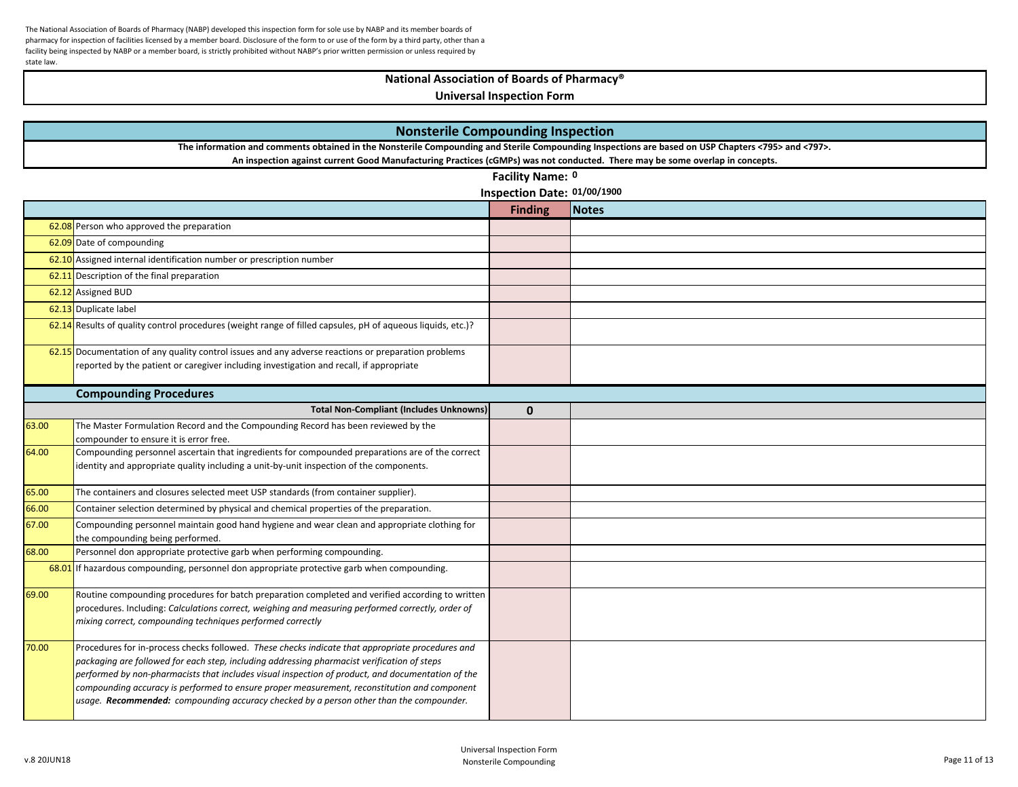# **National Association of Boards of Pharmacy®**

|       | <b>Nonsterile Compounding Inspection</b>                                                                                                                                                                                                                                                                                                                                                                                                                                                        |                             |              |  |
|-------|-------------------------------------------------------------------------------------------------------------------------------------------------------------------------------------------------------------------------------------------------------------------------------------------------------------------------------------------------------------------------------------------------------------------------------------------------------------------------------------------------|-----------------------------|--------------|--|
|       | The information and comments obtained in the Nonsterile Compounding and Sterile Compounding Inspections are based on USP Chapters <795> and <797>.                                                                                                                                                                                                                                                                                                                                              |                             |              |  |
|       | An inspection against current Good Manufacturing Practices (cGMPs) was not conducted. There may be some overlap in concepts.                                                                                                                                                                                                                                                                                                                                                                    |                             |              |  |
|       |                                                                                                                                                                                                                                                                                                                                                                                                                                                                                                 | Facility Name: 0            |              |  |
|       |                                                                                                                                                                                                                                                                                                                                                                                                                                                                                                 | Inspection Date: 01/00/1900 |              |  |
|       |                                                                                                                                                                                                                                                                                                                                                                                                                                                                                                 | <b>Finding</b>              | <b>Notes</b> |  |
|       | 62.08 Person who approved the preparation                                                                                                                                                                                                                                                                                                                                                                                                                                                       |                             |              |  |
|       | 62.09 Date of compounding                                                                                                                                                                                                                                                                                                                                                                                                                                                                       |                             |              |  |
|       | 62.10 Assigned internal identification number or prescription number                                                                                                                                                                                                                                                                                                                                                                                                                            |                             |              |  |
|       | 62.11 Description of the final preparation                                                                                                                                                                                                                                                                                                                                                                                                                                                      |                             |              |  |
|       | 62.12 Assigned BUD                                                                                                                                                                                                                                                                                                                                                                                                                                                                              |                             |              |  |
|       | 62.13 Duplicate label                                                                                                                                                                                                                                                                                                                                                                                                                                                                           |                             |              |  |
|       | 62.14 Results of quality control procedures (weight range of filled capsules, pH of aqueous liquids, etc.)?                                                                                                                                                                                                                                                                                                                                                                                     |                             |              |  |
|       | 62.15 Documentation of any quality control issues and any adverse reactions or preparation problems<br>reported by the patient or caregiver including investigation and recall, if appropriate                                                                                                                                                                                                                                                                                                  |                             |              |  |
|       | <b>Compounding Procedures</b>                                                                                                                                                                                                                                                                                                                                                                                                                                                                   |                             |              |  |
|       | <b>Total Non-Compliant (Includes Unknowns)</b>                                                                                                                                                                                                                                                                                                                                                                                                                                                  | $\mathbf 0$                 |              |  |
| 63.00 | The Master Formulation Record and the Compounding Record has been reviewed by the<br>compounder to ensure it is error free.                                                                                                                                                                                                                                                                                                                                                                     |                             |              |  |
| 64.00 | Compounding personnel ascertain that ingredients for compounded preparations are of the correct<br>identity and appropriate quality including a unit-by-unit inspection of the components.                                                                                                                                                                                                                                                                                                      |                             |              |  |
| 65.00 | The containers and closures selected meet USP standards (from container supplier).                                                                                                                                                                                                                                                                                                                                                                                                              |                             |              |  |
| 66.00 | Container selection determined by physical and chemical properties of the preparation.                                                                                                                                                                                                                                                                                                                                                                                                          |                             |              |  |
| 67.00 | Compounding personnel maintain good hand hygiene and wear clean and appropriate clothing for<br>the compounding being performed.                                                                                                                                                                                                                                                                                                                                                                |                             |              |  |
| 68.00 | Personnel don appropriate protective garb when performing compounding.                                                                                                                                                                                                                                                                                                                                                                                                                          |                             |              |  |
|       | 68.01 If hazardous compounding, personnel don appropriate protective garb when compounding.                                                                                                                                                                                                                                                                                                                                                                                                     |                             |              |  |
| 69.00 | Routine compounding procedures for batch preparation completed and verified according to written<br>procedures. Including: Calculations correct, weighing and measuring performed correctly, order of<br>mixing correct, compounding techniques performed correctly                                                                                                                                                                                                                             |                             |              |  |
| 70.00 | Procedures for in-process checks followed. These checks indicate that appropriate procedures and<br>packaging are followed for each step, including addressing pharmacist verification of steps<br>performed by non-pharmacists that includes visual inspection of product, and documentation of the<br>compounding accuracy is performed to ensure proper measurement, reconstitution and component<br>usage. Recommended: compounding accuracy checked by a person other than the compounder. |                             |              |  |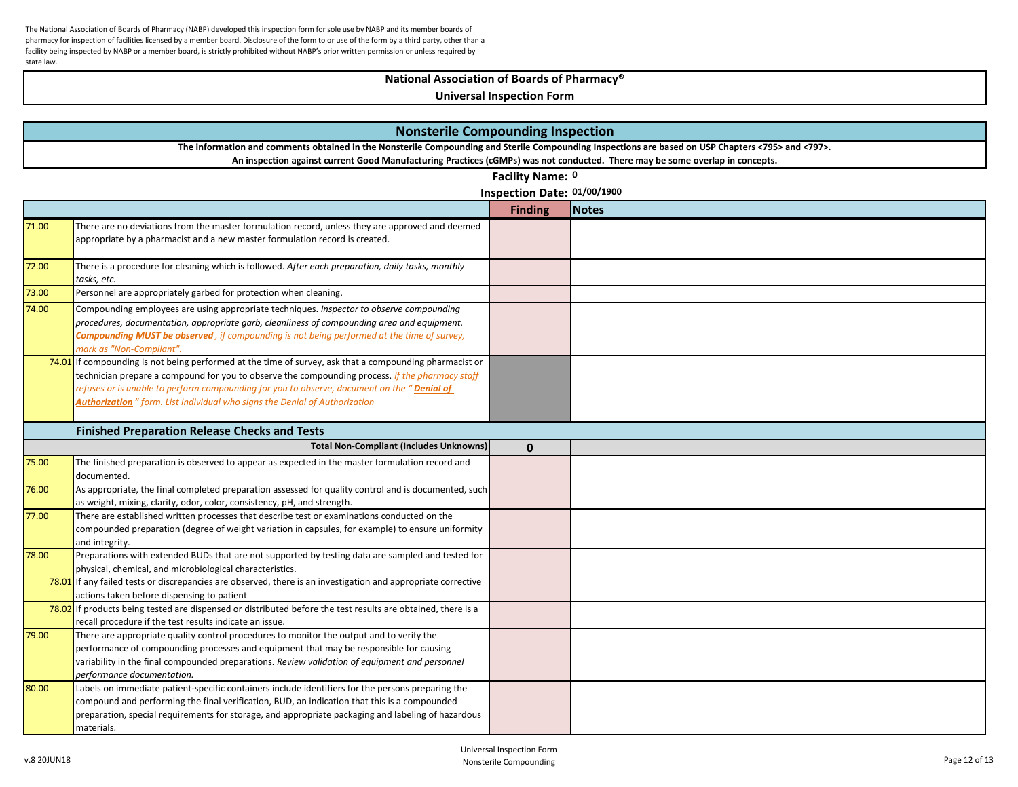## **National Association of Boards of Pharmacy®**

|       | <b>Nonsterile Compounding Inspection</b>                                                                                                                                                                                                                                                                                                                                                         |                             |              |  |
|-------|--------------------------------------------------------------------------------------------------------------------------------------------------------------------------------------------------------------------------------------------------------------------------------------------------------------------------------------------------------------------------------------------------|-----------------------------|--------------|--|
|       | The information and comments obtained in the Nonsterile Compounding and Sterile Compounding Inspections are based on USP Chapters <795> and <797>.                                                                                                                                                                                                                                               |                             |              |  |
|       | An inspection against current Good Manufacturing Practices (cGMPs) was not conducted. There may be some overlap in concepts.                                                                                                                                                                                                                                                                     |                             |              |  |
|       |                                                                                                                                                                                                                                                                                                                                                                                                  | Facility Name: 0            |              |  |
|       |                                                                                                                                                                                                                                                                                                                                                                                                  | Inspection Date: 01/00/1900 |              |  |
|       |                                                                                                                                                                                                                                                                                                                                                                                                  | <b>Finding</b>              | <b>Notes</b> |  |
| 71.00 | There are no deviations from the master formulation record, unless they are approved and deemed<br>appropriate by a pharmacist and a new master formulation record is created.                                                                                                                                                                                                                   |                             |              |  |
| 72.00 | There is a procedure for cleaning which is followed. After each preparation, daily tasks, monthly<br>tasks, etc.                                                                                                                                                                                                                                                                                 |                             |              |  |
| 73.00 | Personnel are appropriately garbed for protection when cleaning.                                                                                                                                                                                                                                                                                                                                 |                             |              |  |
| 74.00 | Compounding employees are using appropriate techniques. Inspector to observe compounding<br>procedures, documentation, appropriate garb, cleanliness of compounding area and equipment.<br><b>Compounding MUST be observed</b> , if compounding is not being performed at the time of survey,<br>mark as "Non-Compliant".                                                                        |                             |              |  |
|       | $74.01$ If compounding is not being performed at the time of survey, ask that a compounding pharmacist or<br>technician prepare a compound for you to observe the compounding process. If the pharmacy staff<br>refuses or is unable to perform compounding for you to observe, document on the "Denial of<br><b>Authorization</b> " form. List individual who signs the Denial of Authorization |                             |              |  |
|       | <b>Finished Preparation Release Checks and Tests</b>                                                                                                                                                                                                                                                                                                                                             |                             |              |  |
|       | <b>Total Non-Compliant (Includes Unknowns)</b>                                                                                                                                                                                                                                                                                                                                                   | $\mathbf{0}$                |              |  |
| 75.00 | The finished preparation is observed to appear as expected in the master formulation record and<br>documented.                                                                                                                                                                                                                                                                                   |                             |              |  |
| 76.00 | As appropriate, the final completed preparation assessed for quality control and is documented, such<br>as weight, mixing, clarity, odor, color, consistency, pH, and strength.                                                                                                                                                                                                                  |                             |              |  |
| 77.00 | There are established written processes that describe test or examinations conducted on the<br>compounded preparation (degree of weight variation in capsules, for example) to ensure uniformity<br>and integrity.                                                                                                                                                                               |                             |              |  |
| 78.00 | Preparations with extended BUDs that are not supported by testing data are sampled and tested for<br>physical, chemical, and microbiological characteristics.                                                                                                                                                                                                                                    |                             |              |  |
|       | 78.01 If any failed tests or discrepancies are observed, there is an investigation and appropriate corrective<br>actions taken before dispensing to patient                                                                                                                                                                                                                                      |                             |              |  |
|       | 78.02 If products being tested are dispensed or distributed before the test results are obtained, there is a<br>recall procedure if the test results indicate an issue.                                                                                                                                                                                                                          |                             |              |  |
| 79.00 | There are appropriate quality control procedures to monitor the output and to verify the<br>performance of compounding processes and equipment that may be responsible for causing<br>variability in the final compounded preparations. Review validation of equipment and personnel<br>performance documentation.                                                                               |                             |              |  |
| 80.00 | Labels on immediate patient-specific containers include identifiers for the persons preparing the<br>compound and performing the final verification, BUD, an indication that this is a compounded<br>preparation, special requirements for storage, and appropriate packaging and labeling of hazardous<br>materials.                                                                            |                             |              |  |